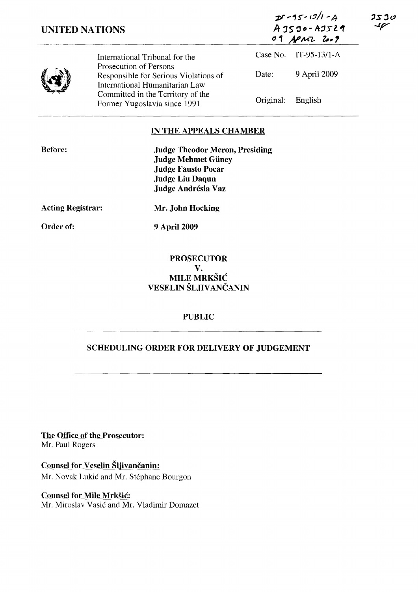| 25 J O        |  |
|---------------|--|
| $\mathcal{L}$ |  |

 $25 - 15 - 171 - 4$  $AJSIO-AJS21$ <sup>D</sup>1 **,..y /k""Z.. 1"."** 

|--|

International Tribunal for the Prosecution of Persons Responsible for Serious Violations of International Humanitarian Law Committed in the Territory of the Former Yugoslavia since 1991 Case No. IT-95-13/1-A Date: 9 April 2009 Original: English

# **IN THE APPEALS CHAMBER**

| <b>Judge Theodor Meron, Presiding</b> |
|---------------------------------------|
| <b>Judge Mehmet Güney</b>             |
| <b>Judge Fausto Pocar</b>             |
| <b>Judge Liu Daqun</b>                |
| Judge Andrésia Vaz                    |
|                                       |

**Acting Registrar:** 

**Mr. John Hocking** 

**Order of:** 

**9** April 2009

## **PROSECUTOR V.**  MILE MRKŠIĆ **VESELIN** ŠLJIVANČANIN

### **PUBLIC**

# **SCHEDULING ORDER FOR DELIVERY OF JUDGEMENT**

**The Office of the Prosecutor:**  Mr. Paul Rogers

**Counsel for Veselin** Šljivančanin: Mr. Novak Lukić and Mr. Stephane Bourgon

# **Counsel for Mile** Mrkšić:

Mr. Miroslav Vasić and Mr. Vladimir Domazet